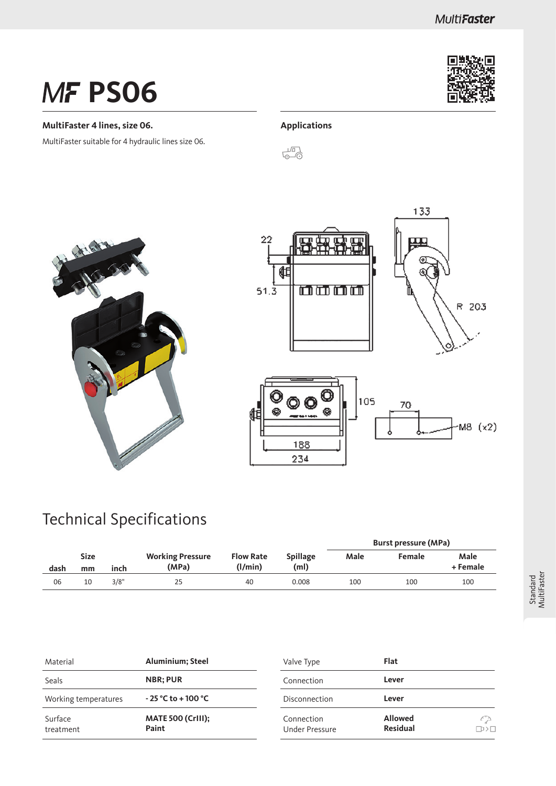# **MF PS06**

#### **MultiFaster 4 lines, size 06.**

MultiFaster suitable for 4 hydraulic lines size 06.



#### **Applications**











### Technical Specifications

|                                   |    |      |                                  |                             |                         | <b>Burst pressure (MPa)</b> |        |                  |  |
|-----------------------------------|----|------|----------------------------------|-----------------------------|-------------------------|-----------------------------|--------|------------------|--|
| <b>Size</b><br>dash<br>inch<br>mm |    |      | <b>Working Pressure</b><br>(MPa) | <b>Flow Rate</b><br>(1/min) | <b>Spillage</b><br>(ml) | Male                        | Female | Male<br>+ Female |  |
| 06                                | 10 | 3/8" | 25                               | 40                          | 0.008                   | 100                         | 100    | 100              |  |

| Material             | <b>Aluminium</b> ; Steel          | Valve Type                          | Flat                              |
|----------------------|-----------------------------------|-------------------------------------|-----------------------------------|
| Seals                | <b>NBR</b> ; PUR                  | Connection                          | Lever                             |
| Working temperatures | $-25 °C$ to +100 $°C$             | Disconnection                       | Lever                             |
| Surface<br>treatment | <b>MATE 500 (CrIII):</b><br>Paint | Connection<br><b>Under Pressure</b> | <b>Allowed</b><br><b>Residual</b> |

 $\begin{array}{c} \curvearrowleft \\ \curvearrowleft \\ \square \rightarrow \square \end{array}$